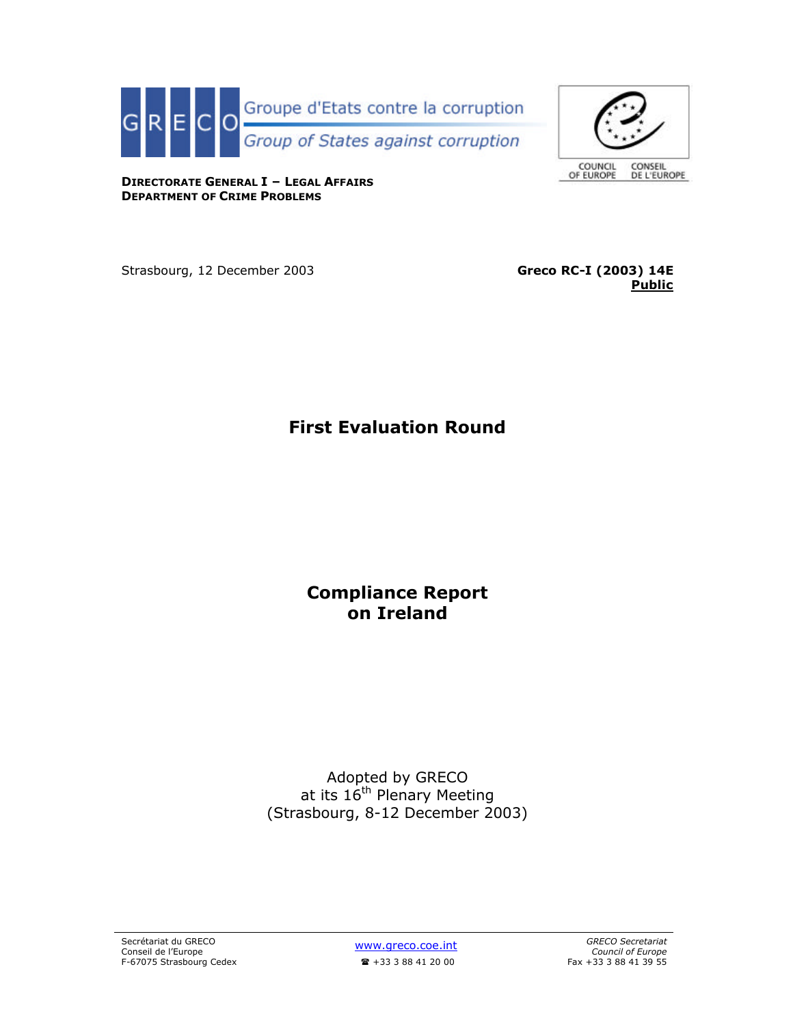



**DIRECTORATE GENERAL I – LEGAL AFFAIRS DEPARTMENT OF CRIME PROBLEMS**

Strasbourg, 12 December 2003 **Greco RC-I (2003) 14E**

**Public**

**First Evaluation Round**

**Compliance Report on Ireland**

Adopted by GRECO at its 16<sup>th</sup> Plenary Meeting (Strasbourg, 8-12 December 2003)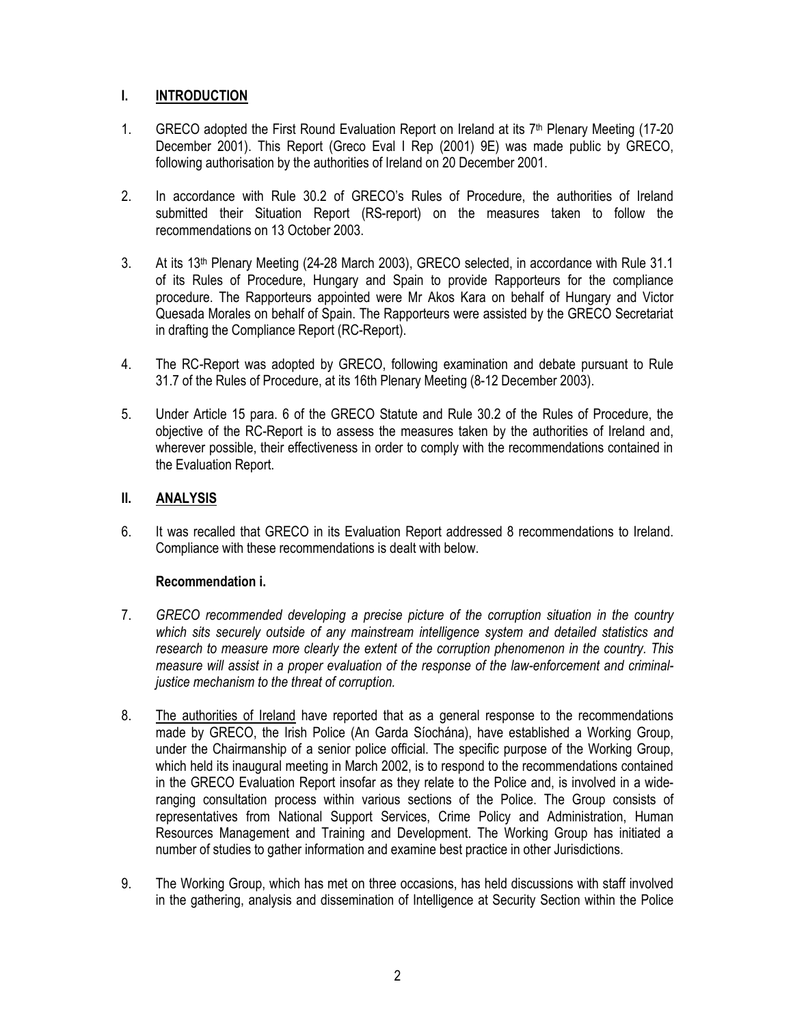# **I. INTRODUCTION**

- 1. GRECO adopted the First Round Evaluation Report on Ireland at its 7<sup>th</sup> Plenary Meeting (17-20 December 2001). This Report (Greco Eval I Rep (2001) 9E) was made public by GRECO, following authorisation by the authorities of Ireland on 20 December 2001.
- 2. In accordance with Rule 30.2 of GRECO's Rules of Procedure, the authorities of Ireland submitted their Situation Report (RS-report) on the measures taken to follow the recommendations on 13 October 2003.
- 3. At its 13th Plenary Meeting (24-28 March 2003), GRECO selected, in accordance with Rule 31.1 of its Rules of Procedure, Hungary and Spain to provide Rapporteurs for the compliance procedure. The Rapporteurs appointed were Mr Akos Kara on behalf of Hungary and Victor Quesada Morales on behalf of Spain. The Rapporteurs were assisted by the GRECO Secretariat in drafting the Compliance Report (RC-Report).
- 4. The RC-Report was adopted by GRECO, following examination and debate pursuant to Rule 31.7 of the Rules of Procedure, at its 16th Plenary Meeting (8-12 December 2003).
- 5. Under Article 15 para. 6 of the GRECO Statute and Rule 30.2 of the Rules of Procedure, the objective of the RC-Report is to assess the measures taken by the authorities of Ireland and, wherever possible, their effectiveness in order to comply with the recommendations contained in the Evaluation Report.

# **II. ANALYSIS**

6. It was recalled that GRECO in its Evaluation Report addressed 8 recommendations to Ireland. Compliance with these recommendations is dealt with below.

## **Recommendation i.**

- 7. *GRECO recommended developing a precise picture of the corruption situation in the country which sits securely outside of any mainstream intelligence system and detailed statistics and research to measure more clearly the extent of the corruption phenomenon in the country. This measure will assist in a proper evaluation of the response of the law-enforcement and criminaljustice mechanism to the threat of corruption.*
- 8. The authorities of Ireland have reported that as a general response to the recommendations made by GRECO, the Irish Police (An Garda Síochána), have established a Working Group, under the Chairmanship of a senior police official. The specific purpose of the Working Group, which held its inaugural meeting in March 2002, is to respond to the recommendations contained in the GRECO Evaluation Report insofar as they relate to the Police and, is involved in a wideranging consultation process within various sections of the Police. The Group consists of representatives from National Support Services, Crime Policy and Administration, Human Resources Management and Training and Development. The Working Group has initiated a number of studies to gather information and examine best practice in other Jurisdictions.
- 9. The Working Group, which has met on three occasions, has held discussions with staff involved in the gathering, analysis and dissemination of Intelligence at Security Section within the Police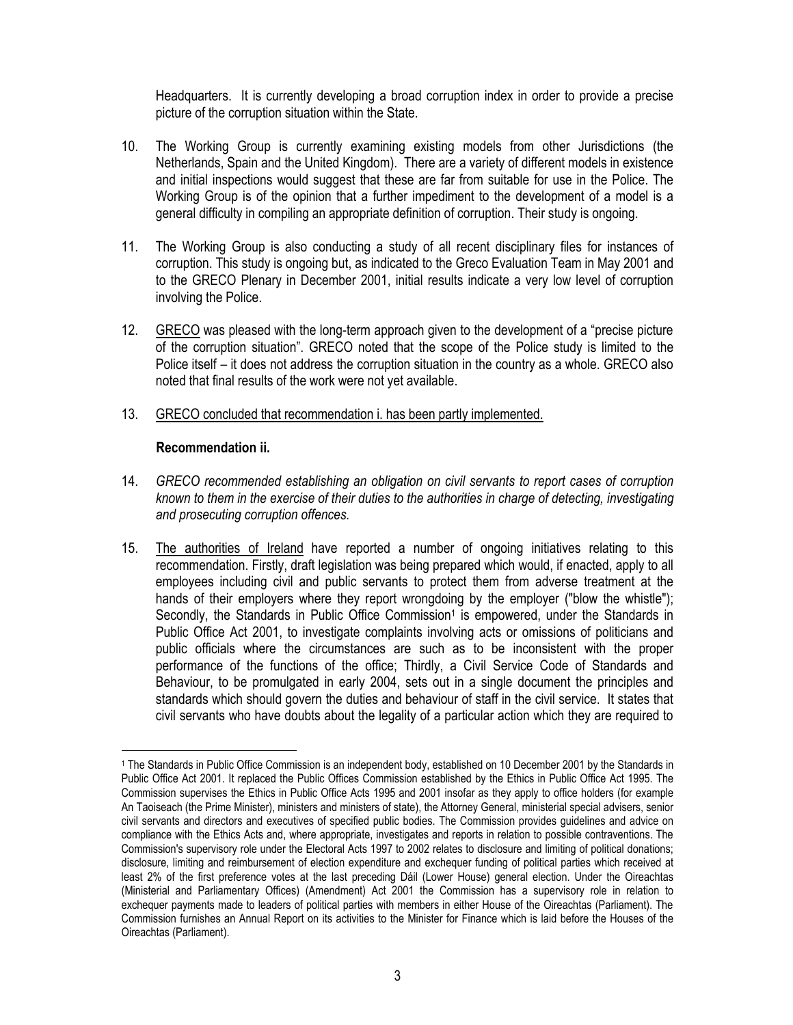Headquarters. It is currently developing a broad corruption index in order to provide a precise picture of the corruption situation within the State.

- 10. The Working Group is currently examining existing models from other Jurisdictions (the Netherlands, Spain and the United Kingdom). There are a variety of different models in existence and initial inspections would suggest that these are far from suitable for use in the Police. The Working Group is of the opinion that a further impediment to the development of a model is a general difficulty in compiling an appropriate definition of corruption. Their study is ongoing.
- 11. The Working Group is also conducting a study of all recent disciplinary files for instances of corruption. This study is ongoing but, as indicated to the Greco Evaluation Team in May 2001 and to the GRECO Plenary in December 2001, initial results indicate a very low level of corruption involving the Police.
- 12. GRECO was pleased with the long-term approach given to the development of a "precise picture of the corruption situation". GRECO noted that the scope of the Police study is limited to the Police itself – it does not address the corruption situation in the country as a whole. GRECO also noted that final results of the work were not yet available.
- 13. GRECO concluded that recommendation i. has been partly implemented.

## **Recommendation ii.**

 $\overline{a}$ 

- 14. *GRECO recommended establishing an obligation on civil servants to report cases of corruption known to them in the exercise of their duties to the authorities in charge of detecting, investigating and prosecuting corruption offences.*
- 15. The authorities of Ireland have reported a number of ongoing initiatives relating to this recommendation. Firstly, draft legislation was being prepared which would, if enacted, apply to all employees including civil and public servants to protect them from adverse treatment at the hands of their employers where they report wrongdoing by the employer ("blow the whistle"); Secondly, the Standards in Public Office Commission<sup>1</sup> is empowered, under the Standards in Public Office Act 2001, to investigate complaints involving acts or omissions of politicians and public officials where the circumstances are such as to be inconsistent with the proper performance of the functions of the office; Thirdly, a Civil Service Code of Standards and Behaviour, to be promulgated in early 2004, sets out in a single document the principles and standards which should govern the duties and behaviour of staff in the civil service. It states that civil servants who have doubts about the legality of a particular action which they are required to

<sup>1</sup> The Standards in Public Office Commission is an independent body, established on 10 December 2001 by the Standards in Public Office Act 2001. It replaced the Public Offices Commission established by the Ethics in Public Office Act 1995. The Commission supervises the Ethics in Public Office Acts 1995 and 2001 insofar as they apply to office holders (for example An Taoiseach (the Prime Minister), ministers and ministers of state), the Attorney General, ministerial special advisers, senior civil servants and directors and executives of specified public bodies. The Commission provides guidelines and advice on compliance with the Ethics Acts and, where appropriate, investigates and reports in relation to possible contraventions. The Commission's supervisory role under the Electoral Acts 1997 to 2002 relates to disclosure and limiting of political donations; disclosure, limiting and reimbursement of election expenditure and exchequer funding of political parties which received at least 2% of the first preference votes at the last preceding Dáil (Lower House) general election. Under the Oireachtas (Ministerial and Parliamentary Offices) (Amendment) Act 2001 the Commission has a supervisory role in relation to exchequer payments made to leaders of political parties with members in either House of the Oireachtas (Parliament). The Commission furnishes an Annual Report on its activities to the Minister for Finance which is laid before the Houses of the Oireachtas (Parliament).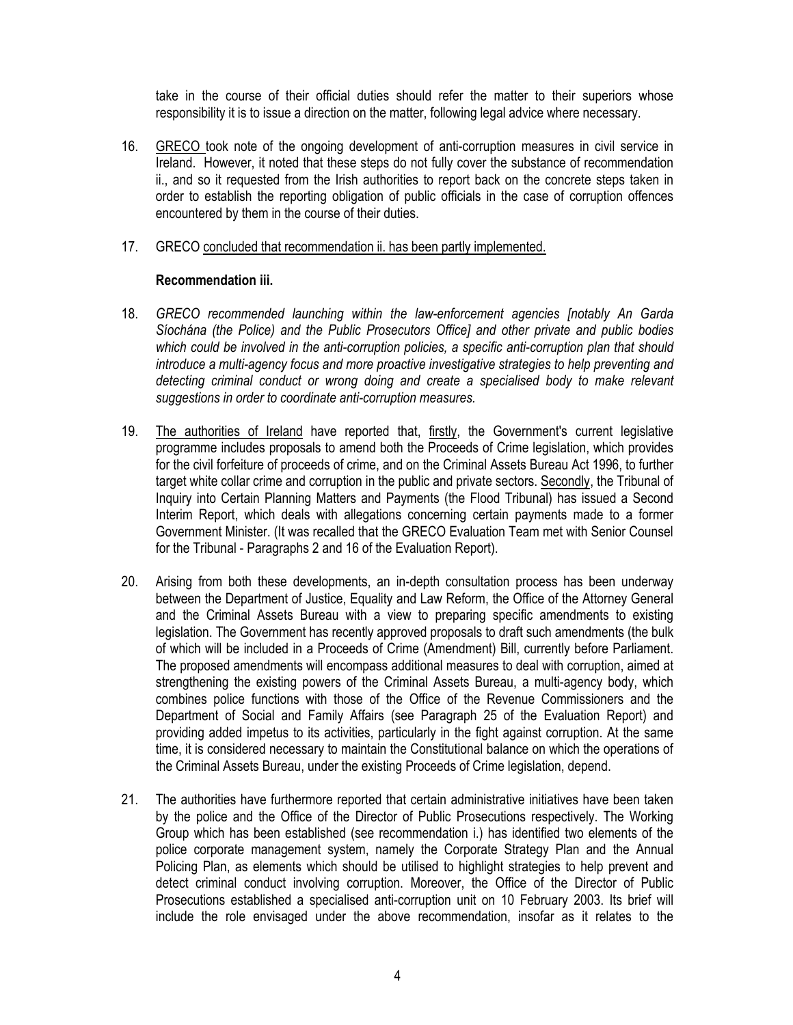take in the course of their official duties should refer the matter to their superiors whose responsibility it is to issue a direction on the matter, following legal advice where necessary.

- 16. GRECO took note of the ongoing development of anti-corruption measures in civil service in Ireland. However, it noted that these steps do not fully cover the substance of recommendation ii., and so it requested from the Irish authorities to report back on the concrete steps taken in order to establish the reporting obligation of public officials in the case of corruption offences encountered by them in the course of their duties.
- 17. GRECO concluded that recommendation ii. has been partly implemented.

## **Recommendation iii.**

- 18. *GRECO recommended launching within the law-enforcement agencies [notably An Garda Síochána (the Police) and the Public Prosecutors Office] and other private and public bodies which could be involved in the anti-corruption policies, a specific anti-corruption plan that should introduce a multi-agency focus and more proactive investigative strategies to help preventing and detecting criminal conduct or wrong doing and create a specialised body to make relevant suggestions in order to coordinate anti-corruption measures.*
- 19. The authorities of Ireland have reported that, firstly, the Government's current legislative programme includes proposals to amend both the Proceeds of Crime legislation, which provides for the civil forfeiture of proceeds of crime, and on the Criminal Assets Bureau Act 1996, to further target white collar crime and corruption in the public and private sectors. Secondly, the Tribunal of Inquiry into Certain Planning Matters and Payments (the Flood Tribunal) has issued a Second Interim Report, which deals with allegations concerning certain payments made to a former Government Minister. (It was recalled that the GRECO Evaluation Team met with Senior Counsel for the Tribunal - Paragraphs 2 and 16 of the Evaluation Report).
- 20. Arising from both these developments, an in-depth consultation process has been underway between the Department of Justice, Equality and Law Reform, the Office of the Attorney General and the Criminal Assets Bureau with a view to preparing specific amendments to existing legislation. The Government has recently approved proposals to draft such amendments (the bulk of which will be included in a Proceeds of Crime (Amendment) Bill, currently before Parliament. The proposed amendments will encompass additional measures to deal with corruption, aimed at strengthening the existing powers of the Criminal Assets Bureau, a multi-agency body, which combines police functions with those of the Office of the Revenue Commissioners and the Department of Social and Family Affairs (see Paragraph 25 of the Evaluation Report) and providing added impetus to its activities, particularly in the fight against corruption. At the same time, it is considered necessary to maintain the Constitutional balance on which the operations of the Criminal Assets Bureau, under the existing Proceeds of Crime legislation, depend.
- 21. The authorities have furthermore reported that certain administrative initiatives have been taken by the police and the Office of the Director of Public Prosecutions respectively. The Working Group which has been established (see recommendation i.) has identified two elements of the police corporate management system, namely the Corporate Strategy Plan and the Annual Policing Plan, as elements which should be utilised to highlight strategies to help prevent and detect criminal conduct involving corruption. Moreover, the Office of the Director of Public Prosecutions established a specialised anti-corruption unit on 10 February 2003. Its brief will include the role envisaged under the above recommendation, insofar as it relates to the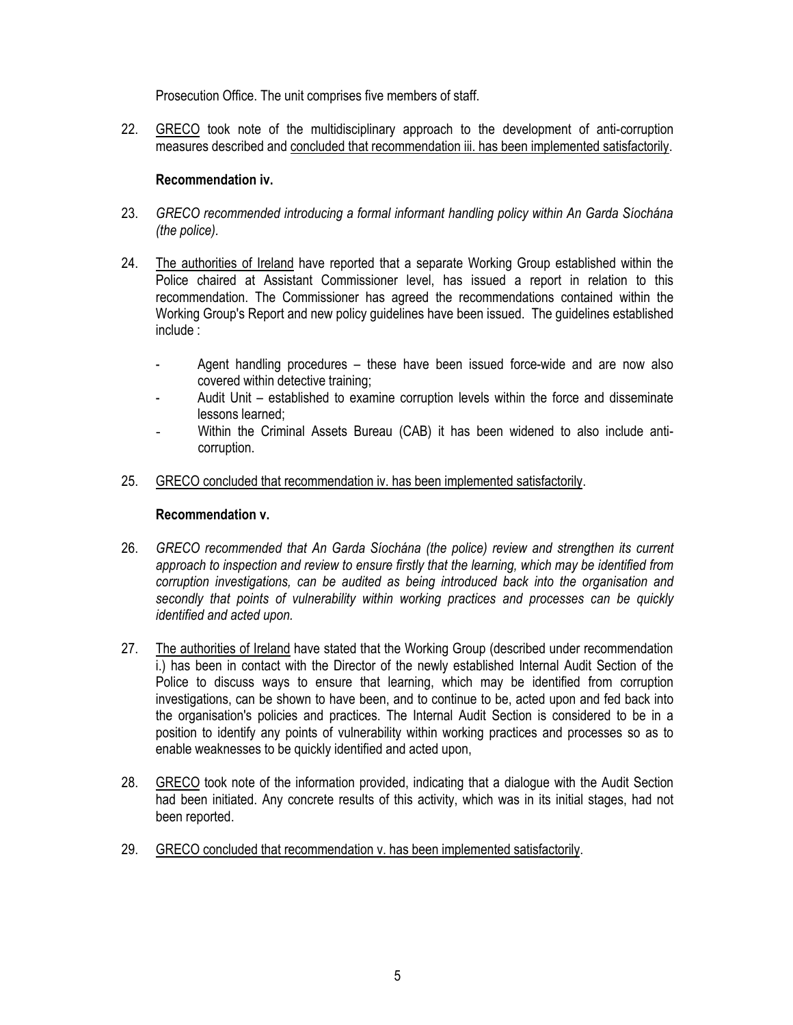Prosecution Office. The unit comprises five members of staff.

22. GRECO took note of the multidisciplinary approach to the development of anti-corruption measures described and concluded that recommendation iii. has been implemented satisfactorily.

## **Recommendation iv.**

- 23. *GRECO recommended introducing a formal informant handling policy within An Garda Síochána (the police).*
- 24. The authorities of Ireland have reported that a separate Working Group established within the Police chaired at Assistant Commissioner level, has issued a report in relation to this recommendation. The Commissioner has agreed the recommendations contained within the Working Group's Report and new policy guidelines have been issued. The guidelines established include :
	- Agent handling procedures these have been issued force-wide and are now also covered within detective training;
	- Audit Unit established to examine corruption levels within the force and disseminate lessons learned;
	- Within the Criminal Assets Bureau (CAB) it has been widened to also include anticorruption.
- 25. GRECO concluded that recommendation iv. has been implemented satisfactorily.

#### **Recommendation v.**

- 26. *GRECO recommended that An Garda Síochána (the police) review and strengthen its current approach to inspection and review to ensure firstly that the learning, which may be identified from corruption investigations, can be audited as being introduced back into the organisation and secondly that points of vulnerability within working practices and processes can be quickly identified and acted upon.*
- 27. The authorities of Ireland have stated that the Working Group (described under recommendation i.) has been in contact with the Director of the newly established Internal Audit Section of the Police to discuss ways to ensure that learning, which may be identified from corruption investigations, can be shown to have been, and to continue to be, acted upon and fed back into the organisation's policies and practices. The Internal Audit Section is considered to be in a position to identify any points of vulnerability within working practices and processes so as to enable weaknesses to be quickly identified and acted upon,
- 28. GRECO took note of the information provided, indicating that a dialogue with the Audit Section had been initiated. Any concrete results of this activity, which was in its initial stages, had not been reported.
- 29. GRECO concluded that recommendation v. has been implemented satisfactorily.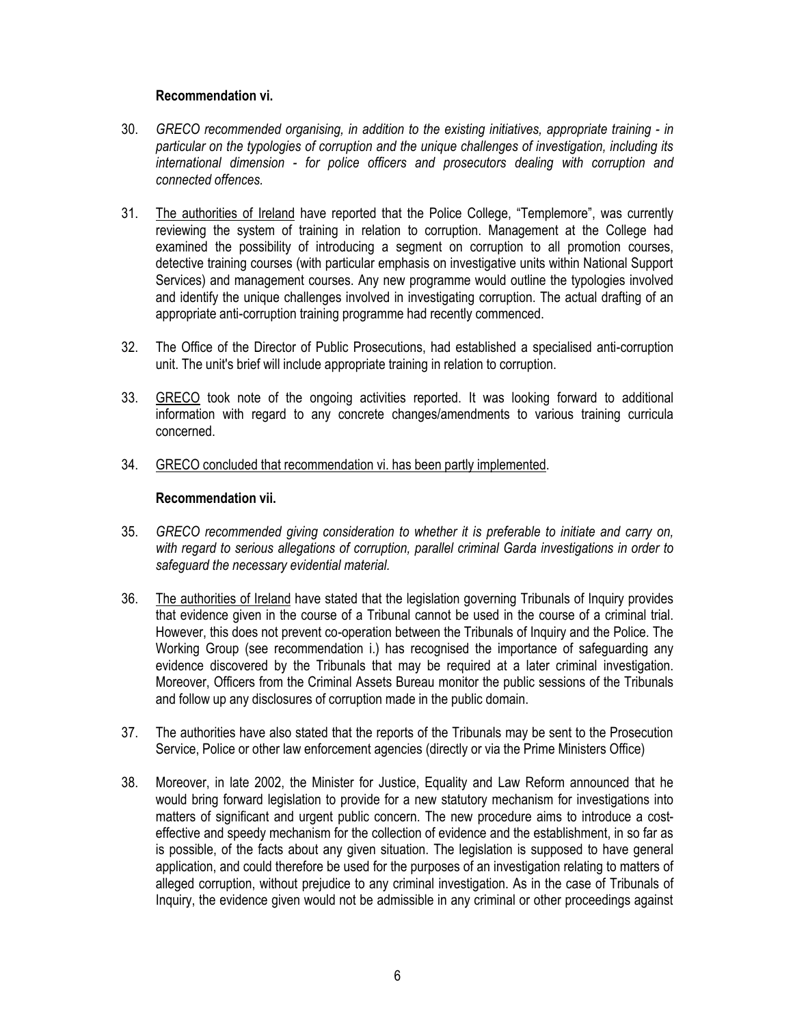## **Recommendation vi.**

- 30. *GRECO recommended organising, in addition to the existing initiatives, appropriate training - in particular on the typologies of corruption and the unique challenges of investigation, including its international dimension - for police officers and prosecutors dealing with corruption and connected offences.*
- 31. The authorities of Ireland have reported that the Police College, "Templemore", was currently reviewing the system of training in relation to corruption. Management at the College had examined the possibility of introducing a segment on corruption to all promotion courses, detective training courses (with particular emphasis on investigative units within National Support Services) and management courses. Any new programme would outline the typologies involved and identify the unique challenges involved in investigating corruption. The actual drafting of an appropriate anti-corruption training programme had recently commenced.
- 32. The Office of the Director of Public Prosecutions, had established a specialised anti-corruption unit. The unit's brief will include appropriate training in relation to corruption.
- 33. GRECO took note of the ongoing activities reported. It was looking forward to additional information with regard to any concrete changes/amendments to various training curricula concerned.
- 34. GRECO concluded that recommendation vi. has been partly implemented.

## **Recommendation vii.**

- 35. *GRECO recommended giving consideration to whether it is preferable to initiate and carry on, with regard to serious allegations of corruption, parallel criminal Garda investigations in order to safeguard the necessary evidential material.*
- 36. The authorities of Ireland have stated that the legislation governing Tribunals of Inquiry provides that evidence given in the course of a Tribunal cannot be used in the course of a criminal trial. However, this does not prevent co-operation between the Tribunals of Inquiry and the Police. The Working Group (see recommendation i.) has recognised the importance of safeguarding any evidence discovered by the Tribunals that may be required at a later criminal investigation. Moreover, Officers from the Criminal Assets Bureau monitor the public sessions of the Tribunals and follow up any disclosures of corruption made in the public domain.
- 37. The authorities have also stated that the reports of the Tribunals may be sent to the Prosecution Service, Police or other law enforcement agencies (directly or via the Prime Ministers Office)
- 38. Moreover, in late 2002, the Minister for Justice, Equality and Law Reform announced that he would bring forward legislation to provide for a new statutory mechanism for investigations into matters of significant and urgent public concern. The new procedure aims to introduce a costeffective and speedy mechanism for the collection of evidence and the establishment, in so far as is possible, of the facts about any given situation. The legislation is supposed to have general application, and could therefore be used for the purposes of an investigation relating to matters of alleged corruption, without prejudice to any criminal investigation. As in the case of Tribunals of Inquiry, the evidence given would not be admissible in any criminal or other proceedings against